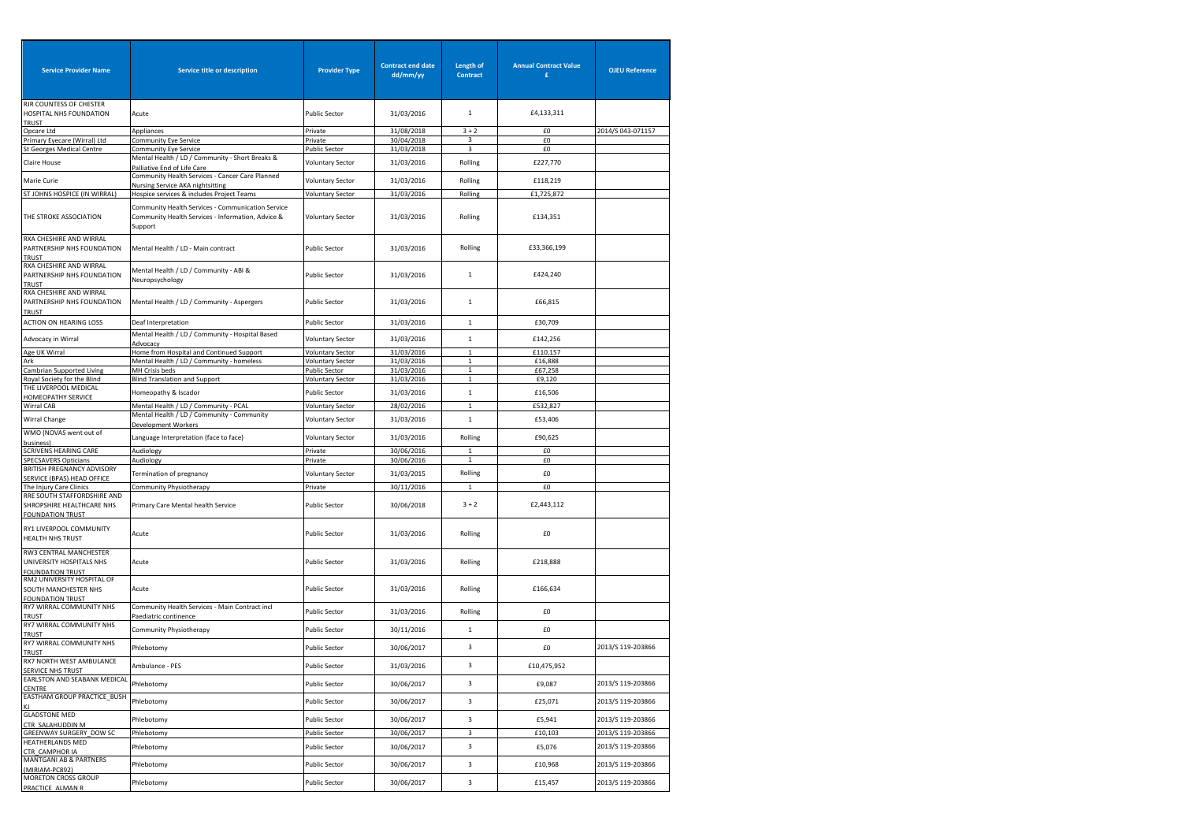| <b>Service Provider Name</b>                                                  | Service title or description                                                                                      | <b>Provider Type</b>                     | <b>Contract end date</b><br>dd/mm/yy | Length of<br><b>Contract</b> | <b>Annual Contract Value</b><br>£ | <b>OJEU Reference</b> |
|-------------------------------------------------------------------------------|-------------------------------------------------------------------------------------------------------------------|------------------------------------------|--------------------------------------|------------------------------|-----------------------------------|-----------------------|
| RJR COUNTESS OF CHESTER<br>HOSPITAL NHS FOUNDATION                            | Acute                                                                                                             | <b>Public Sector</b>                     | 31/03/2016                           | $\mathbf 1$                  | £4,133,311                        |                       |
| <b>TRUST</b><br>Opcare Ltd                                                    | Appliances                                                                                                        | Private                                  | 31/08/2018                           | $3 + 2$                      | £0                                | 2014/S 043-071157     |
| Primary Eyecare (Wirral) Ltd                                                  | Community Eye Service                                                                                             | Private                                  | 30/04/2018                           | 3                            | £0                                |                       |
| <b>St Georges Medical Centre</b>                                              | Community Eye Service                                                                                             | Public Sector                            | 31/03/2018                           | 3                            | £0                                |                       |
| Claire House                                                                  | Mental Health / LD / Community - Short Breaks &<br>Palliative End of Life Care                                    | <b>Voluntary Sector</b>                  | 31/03/2016                           | Rolling                      | £227,770                          |                       |
| Marie Curie                                                                   | Community Health Services - Cancer Care Planned<br>Nursing Service AKA nightsitting                               | <b>Voluntary Sector</b>                  | 31/03/2016                           | Rolling                      | £118,219                          |                       |
| ST JOHNS HOSPICE (IN WIRRAL                                                   | Hospice services & includes Project Teams                                                                         | <b>Voluntary Sector</b>                  | 31/03/2016                           | Rolling                      | £1,725,872                        |                       |
| THE STROKE ASSOCIATION                                                        | Community Health Services - Communication Service<br>Community Health Services - Information, Advice &<br>Support | <b>Voluntary Sector</b>                  | 31/03/2016                           | Rolling                      | £134,351                          |                       |
| RXA CHESHIRE AND WIRRAL<br>PARTNERSHIP NHS FOUNDATION<br><b>TRUST</b>         | Mental Health / LD - Main contract                                                                                | <b>Public Sector</b>                     | 31/03/2016                           | Rolling                      | £33,366,199                       |                       |
| RXA CHESHIRE AND WIRRAL<br>PARTNERSHIP NHS FOUNDATION<br><b>TRUST</b>         | Mental Health / LD / Community - ABI &<br>Neuropsychology                                                         | <b>Public Sector</b>                     | 31/03/2016                           | $\,1\,$                      | £424,240                          |                       |
| RXA CHESHIRE AND WIRRAL<br>PARTNERSHIP NHS FOUNDATION<br><b>TRUST</b>         | Mental Health / LD / Community - Aspergers                                                                        | Public Sector                            | 31/03/2016                           | $\mathbf{1}$                 | £66,815                           |                       |
| <b>ACTION ON HEARING LOSS</b>                                                 | Deaf Interpretation                                                                                               | <b>Public Sector</b>                     | 31/03/2016                           | $\mathbf{1}$                 | £30,709                           |                       |
| Advocacy in Wirral                                                            | Mental Health / LD / Community - Hospital Based<br>Advocacy                                                       | <b>Voluntary Sector</b>                  | 31/03/2016                           | $\mathbf{1}$                 | £142,256                          |                       |
| Age UK Wirral                                                                 | Home from Hospital and Continued Support                                                                          | <b>Voluntary Sector</b>                  | 31/03/2016                           | $\mathbf{1}$                 | £110,157                          |                       |
| Ark<br>Cambrian Supported Living                                              | Mental Health / LD / Community - homeless<br>MH Crisis beds                                                       | <b>Voluntary Sector</b><br>Public Sector | 31/03/2016<br>31/03/2016             | $\mathbf{1}$<br>$\mathbf 1$  | £16,888<br>£67,258                |                       |
| Royal Society for the Blind                                                   | <b>Blind Translation and Support</b>                                                                              | <b>Voluntary Sector</b>                  | 31/03/2016                           | $\mathbf{1}$                 | £9,120                            |                       |
| THE LIVERPOOL MEDICAL<br><b>HOMEOPATHY SERVICE</b>                            | Homeopathy & Iscador                                                                                              | Public Sector                            | 31/03/2016                           | $\mathbf{1}$                 | £16,506                           |                       |
| Wirral CAB                                                                    | Mental Health / LD / Community - PCAL                                                                             | <b>Voluntary Sector</b>                  | 28/02/2016                           | $\mathbf 1$                  | £532,827                          |                       |
| Wirral Change                                                                 | Mental Health / LD / Community - Community<br><b>Development Workers</b>                                          | <b>Voluntary Sector</b>                  | 31/03/2016                           | $\mathbf 1$                  | £53,406                           |                       |
| WMO (NOVAS went out of<br>usiness)                                            | Language Interpretation (face to face)                                                                            | <b>Voluntary Sector</b>                  | 31/03/2016                           | Rolling                      | £90,625                           |                       |
| <b>SCRIVENS HEARING CARE</b>                                                  | Audiology                                                                                                         | Private                                  | 30/06/2016                           | $\mathbf 1$                  | £0                                |                       |
| <b>SPECSAVERS Opticians</b><br>BRITISH PREGNANCY ADVISORY                     | Audiology                                                                                                         | Private                                  | 30/06/2016                           | $\mathbf{1}$                 | £0                                |                       |
| SERVICE (BPAS) HEAD OFFICE                                                    | Termination of pregnancy                                                                                          | <b>Voluntary Sector</b>                  | 31/03/2015                           | Rolling                      | £0                                |                       |
| The Injury Care Clinics                                                       | Community Physiotherapy                                                                                           | Private                                  | 30/11/2016                           | $\mathbf{1}$                 | £0                                |                       |
| RRE SOUTH STAFFORDSHIRE AND<br>SHROPSHIRE HEALTHCARE NHS                      | Primary Care Mental health Service                                                                                | Public Sector                            | 30/06/2018                           | $3 + 2$                      | £2,443,112                        |                       |
| <b>FOUNDATION TRUST</b><br>RY1 LIVERPOOL COMMUNITY<br>HEALTH NHS TRUST        | Acute                                                                                                             | Public Sector                            | 31/03/2016                           | Rolling                      | £0                                |                       |
| RW3 CENTRAL MANCHESTER<br>UNIVERSITY HOSPITALS NHS<br><b>FOUNDATION TRUST</b> | Acute                                                                                                             | <b>Public Sector</b>                     | 31/03/2016                           | Rolling                      | £218,888                          |                       |
| RM2 UNIVERSITY HOSPITAL OF<br>SOUTH MANCHESTER NHS<br><b>FOUNDATION TRUST</b> | Acute                                                                                                             | <b>Public Sector</b>                     | 31/03/2016                           | Rolling                      | £166,634                          |                       |
| RY7 WIRRAL COMMUNITY NHS<br><b>TRUST</b>                                      | Community Health Services - Main Contract incl<br>Paediatric continence                                           | <b>Public Sector</b>                     | 31/03/2016                           | Rolling                      | £0                                |                       |
| RY7 WIRRAL COMMUNITY NHS<br><b>TRUST</b>                                      | Community Physiotherapy                                                                                           | Public Sector                            | 30/11/2016                           | $\mathbf{1}$                 | £0                                |                       |
| RY7 WIRRAL COMMUNITY NHS<br>TRUST                                             | Phlebotomy                                                                                                        | <b>Public Sector</b>                     | 30/06/2017                           | 3                            | £0                                | 2013/S 119-203866     |
| RX7 NORTH WEST AMBULANCE<br>SERVICE NHS TRUST                                 | Ambulance - PES                                                                                                   | <b>Public Sector</b>                     | 31/03/2016                           | $\overline{3}$               | £10,475,952                       |                       |
| EARLSTON AND SEABANK MEDICAL                                                  | Phlebotomy                                                                                                        | <b>Public Sector</b>                     | 30/06/2017                           | 3                            | £9,087                            | 2013/S 119-203866     |
| CENTRE<br>EASTHAM GROUP PRACTICE_BUSH                                         | Phlebotomy                                                                                                        | Public Sector                            | 30/06/2017                           | 3                            | £25,071                           | 2013/S 119-203866     |
| <b>GLADSTONE MED</b><br>CTR_SALAHUDDIN M<br>GREENWAY SURGERY_DOW SC           | Phlebotomy                                                                                                        | <b>Public Sector</b>                     | 30/06/2017                           | 3                            | £5,941                            | 2013/S 119-203866     |
| <b>HEATHERLANDS MED</b>                                                       | Phlebotomy                                                                                                        | <b>Public Sector</b>                     | 30/06/2017                           | 3                            | £10,103                           | 2013/S 119-203866     |
| CTR_CAMPHOR IA<br>MANTGANI AB & PARTNERS                                      | Phlebotomy                                                                                                        | <b>Public Sector</b>                     | 30/06/2017                           | 3                            | £5,076                            | 2013/S 119-203866     |
| (MIRIAM-PC892)<br><b>MORETON CROSS GROUP</b>                                  | Phlebotomy                                                                                                        | <b>Public Sector</b>                     | 30/06/2017                           | 3                            | £10,968                           | 2013/S 119-203866     |
| PRACTICE ALMAN R                                                              | Phlebotomy                                                                                                        | <b>Public Sector</b>                     | 30/06/2017                           | 3                            | £15,457                           | 2013/S 119-203866     |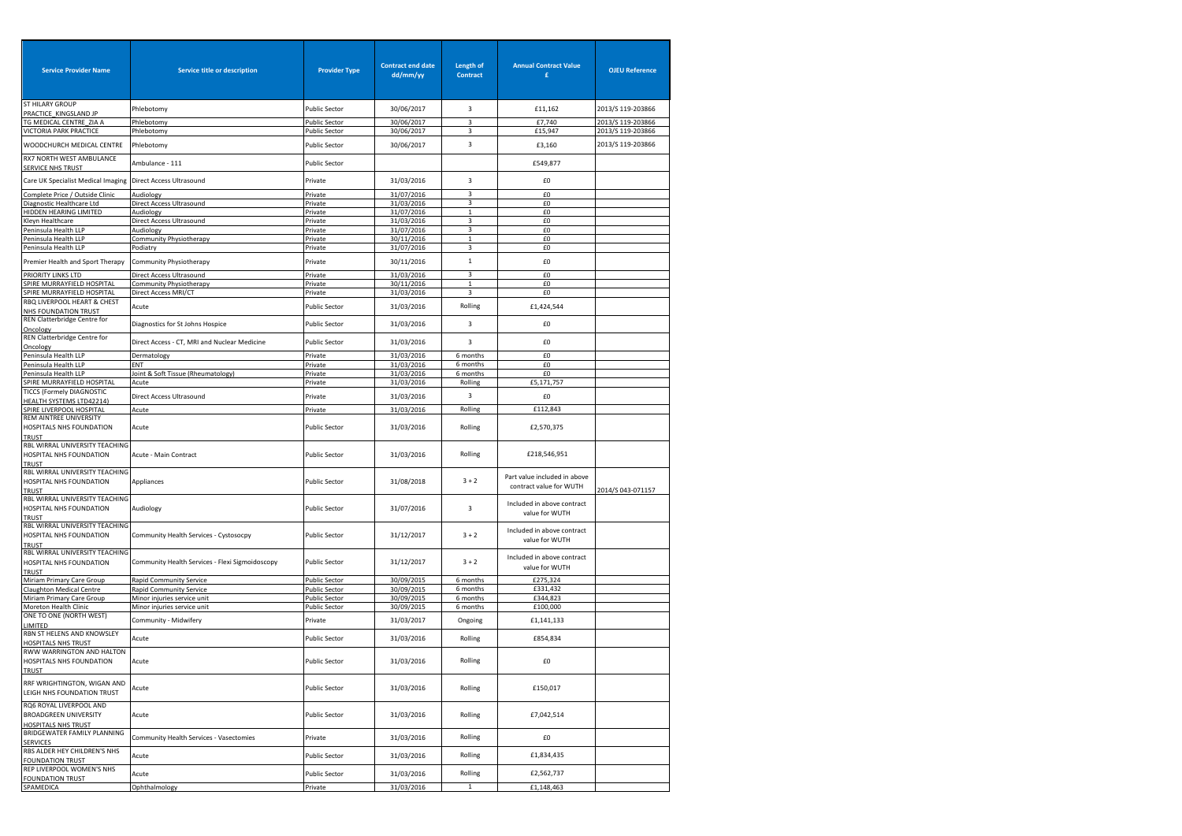| <b>Service Provider Name</b>                                                          | Service title or description                    | <b>Provider Type</b> | <b>Contract end date</b><br>dd/mm/yy | Length of<br><b>Contract</b> | <b>Annual Contract Value</b><br>£                       | <b>OJEU Reference</b>                  |
|---------------------------------------------------------------------------------------|-------------------------------------------------|----------------------|--------------------------------------|------------------------------|---------------------------------------------------------|----------------------------------------|
| <b>ST HILARY GROUP</b>                                                                | Phlebotomy                                      | <b>Public Sector</b> | 30/06/2017                           | 3                            | £11,162                                                 | 2013/S 119-203866                      |
| PRACTICE_KINGSLAND JP                                                                 |                                                 |                      |                                      |                              |                                                         |                                        |
| TG MEDICAL CENTRE_ZIA A                                                               | Phlebotomy<br>Phlebotomy                        | <b>Public Sector</b> | 30/06/2017                           | 3<br>3                       | £7,740<br>£15,947                                       | 2013/S 119-203866<br>2013/S 119-203866 |
| VICTORIA PARK PRACTICE                                                                |                                                 | <b>Public Sector</b> | 30/06/2017                           |                              |                                                         |                                        |
| WOODCHURCH MEDICAL CENTRE<br>RX7 NORTH WEST AMBULANCE                                 | Phlebotomy                                      | <b>Public Sector</b> | 30/06/2017                           | 3                            | £3,160                                                  | 2013/S 119-203866                      |
| <b>SERVICE NHS TRUST</b>                                                              | Ambulance - 111                                 | Public Sector        |                                      |                              | £549,877                                                |                                        |
| Care UK Specialist Medical Imaging                                                    | <b>Direct Access Ultrasound</b>                 | Private              | 31/03/2016                           | 3                            | £0                                                      |                                        |
| Complete Price / Outside Clinic                                                       | Audiology                                       | Private              | 31/07/2016                           | 3                            | £0                                                      |                                        |
| Diagnostic Healthcare Ltd<br>HIDDEN HEARING LIMITED                                   | Direct Access Ultrasound<br>Audiology           | Private<br>Private   | 31/03/2016                           | 3                            | £0<br>£0                                                |                                        |
| Kleyn Healthcare                                                                      | Direct Access Ultrasound                        | Private              | 31/07/2016<br>31/03/2016             | 1<br>3                       | £0                                                      |                                        |
| Peninsula Health LLP                                                                  | Audiology                                       | Private              | 31/07/2016                           | 3                            | £0                                                      |                                        |
| Peninsula Health LLP                                                                  | Community Physiotherapy                         | Private              | 30/11/2016                           | $\mathbf{1}$                 | £0                                                      |                                        |
| Peninsula Health LLP                                                                  | Podiatry                                        | Private              | 31/07/2016                           | 3                            | £0                                                      |                                        |
| Premier Health and Sport Therapy                                                      | Community Physiotherapy                         | Private              | 30/11/2016                           | $\,1$                        | £0                                                      |                                        |
|                                                                                       |                                                 |                      |                                      |                              |                                                         |                                        |
| PRIORITY LINKS LTD<br>SPIRE MURRAYFIELD HOSPITAL                                      | Direct Access Ultrasound                        | Private              | 31/03/2016                           | 3<br>$\mathbf{1}$            | £0<br>£0                                                |                                        |
| SPIRE MURRAYFIELD HOSPITAL                                                            | Community Physiotherapy<br>Direct Access MRI/CT | Private<br>Private   | 30/11/2016<br>31/03/2016             | 3                            | £0                                                      |                                        |
| RBQ LIVERPOOL HEART & CHEST<br>NHS FOUNDATION TRUST                                   | Acute                                           | <b>Public Sector</b> | 31/03/2016                           | Rolling                      | £1,424,544                                              |                                        |
| REN Clatterbridge Centre for                                                          | Diagnostics for St Johns Hospice                | <b>Public Sector</b> | 31/03/2016                           | 3                            | £0                                                      |                                        |
| Oncology<br>REN Clatterbridge Centre for                                              | Direct Access - CT, MRI and Nuclear Medicine    | <b>Public Sector</b> | 31/03/2016                           | 3                            | £0                                                      |                                        |
| Oncology                                                                              |                                                 |                      |                                      | 6 months                     |                                                         |                                        |
| Peninsula Health LLP                                                                  | Dermatology<br>ENT                              | Private              | 31/03/2016<br>31/03/2016             | 6 months                     | £0<br>£0                                                |                                        |
| Peninsula Health LLP<br>Peninsula Health LLP                                          | Joint & Soft Tissue (Rheumatology)              | Private<br>Private   | 31/03/2016                           | 6 months                     | £0                                                      |                                        |
| SPIRE MURRAYFIELD HOSPITAL                                                            | Acute                                           | Private              | 31/03/2016                           | Rolling                      | £5,171,757                                              |                                        |
| TICCS (Formely DIAGNOSTIC                                                             |                                                 |                      |                                      |                              |                                                         |                                        |
| HEALTH SYSTEMS LTD42214)                                                              | Direct Access Ultrasound                        | Private              | 31/03/2016                           | 3                            | £0                                                      |                                        |
| SPIRE LIVERPOOL HOSPITAL                                                              | Acute                                           | Private              | 31/03/2016                           | Rolling                      | £112,843                                                |                                        |
| REM AINTREE UNIVERSITY<br>HOSPITALS NHS FOUNDATION                                    | Acute                                           | <b>Public Sector</b> | 31/03/2016                           | Rolling                      | £2,570,375                                              |                                        |
| TRUST<br>RBL WIRRAL UNIVERSITY TEACHING<br>HOSPITAL NHS FOUNDATION                    | Acute - Main Contract                           | Public Sector        | 31/03/2016                           | Rolling                      | £218,546,951                                            |                                        |
| TRUST<br>RBL WIRRAL UNIVERSITY TEACHING<br>HOSPITAL NHS FOUNDATION<br>TRUST           | Appliances                                      | <b>Public Sector</b> | 31/08/2018                           | $3 + 2$                      | Part value included in above<br>contract value for WUTH | 2014/S 043-071157                      |
| RBL WIRRAL UNIVERSITY TEACHING<br>HOSPITAL NHS FOUNDATION<br><b>TRUST</b>             | Audiology                                       | <b>Public Sector</b> | 31/07/2016                           | 3                            | Included in above contract<br>value for WUTH            |                                        |
| RBL WIRRAL UNIVERSITY TEACHING<br>HOSPITAL NHS FOUNDATION                             | Community Health Services - Cystosocpy          | Public Sector        | 31/12/2017                           | $3 + 2$                      | Included in above contract<br>value for WUTH            |                                        |
| TRUST<br>RBL WIRRAL UNIVERSITY TEACHING<br>HOSPITAL NHS FOUNDATION<br>TRUST           | Community Health Services - Flexi Sigmoidoscopy | <b>Public Sector</b> | 31/12/2017                           | $3 + 2$                      | Included in above contract<br>value for WUTH            |                                        |
| Miriam Primary Care Group                                                             | Rapid Community Service                         | <b>Public Sector</b> | 30/09/2015                           | 6 months                     | £275,324                                                |                                        |
| Claughton Medical Centre                                                              | Rapid Community Service                         | Public Sector        | 30/09/2015                           | 6 months                     | £331,432                                                |                                        |
| Miriam Primary Care Group                                                             | Minor injuries service unit                     | <b>Public Sector</b> | 30/09/2015                           | 6 months                     | £344,823                                                |                                        |
| Moreton Health Clinic                                                                 | Minor injuries service unit                     | Public Sector        | 30/09/2015                           | 6 months                     | £100,000                                                |                                        |
| ONE TO ONE (NORTH WEST)<br>LIMITED                                                    | Community - Midwifery                           | Private              | 31/03/2017                           | Ongoing                      | £1,141,133                                              |                                        |
| RBN ST HELENS AND KNOWSLEY<br><b>HOSPITALS NHS TRUST</b>                              | Acute                                           | Public Sector        | 31/03/2016                           | Rolling                      | £854,834                                                |                                        |
| RWW WARRINGTON AND HALTON<br>HOSPITALS NHS FOUNDATION<br><u>TRUST</u>                 | Acute                                           | <b>Public Sector</b> | 31/03/2016                           | Rolling                      | £0                                                      |                                        |
| RRF WRIGHTINGTON, WIGAN AND<br>LEIGH NHS FOUNDATION TRUST                             | Acute                                           | <b>Public Sector</b> | 31/03/2016                           | Rolling                      | £150,017                                                |                                        |
| RQ6 ROYAL LIVERPOOL AND<br><b>BROADGREEN UNIVERSITY</b><br><b>HOSPITALS NHS TRUST</b> | Acute                                           | <b>Public Sector</b> | 31/03/2016                           | Rolling                      | £7,042,514                                              |                                        |
| BRIDGEWATER FAMILY PLANNING<br><b>SERVICES</b>                                        | Community Health Services - Vasectomies         | Private              | 31/03/2016                           | Rolling                      | £0                                                      |                                        |
| RBS ALDER HEY CHILDREN'S NHS<br><b>FOUNDATION TRUST</b>                               | Acute                                           | <b>Public Sector</b> | 31/03/2016                           | Rolling                      | £1,834,435                                              |                                        |
| REP LIVERPOOL WOMEN'S NHS<br><b>FOUNDATION TRUST</b>                                  | Acute                                           | <b>Public Sector</b> | 31/03/2016                           | Rolling                      | £2,562,737                                              |                                        |
| SPAMEDICA                                                                             | Ophthalmology                                   | Private              | 31/03/2016                           | $\mathbf{1}$                 | £1,148,463                                              |                                        |